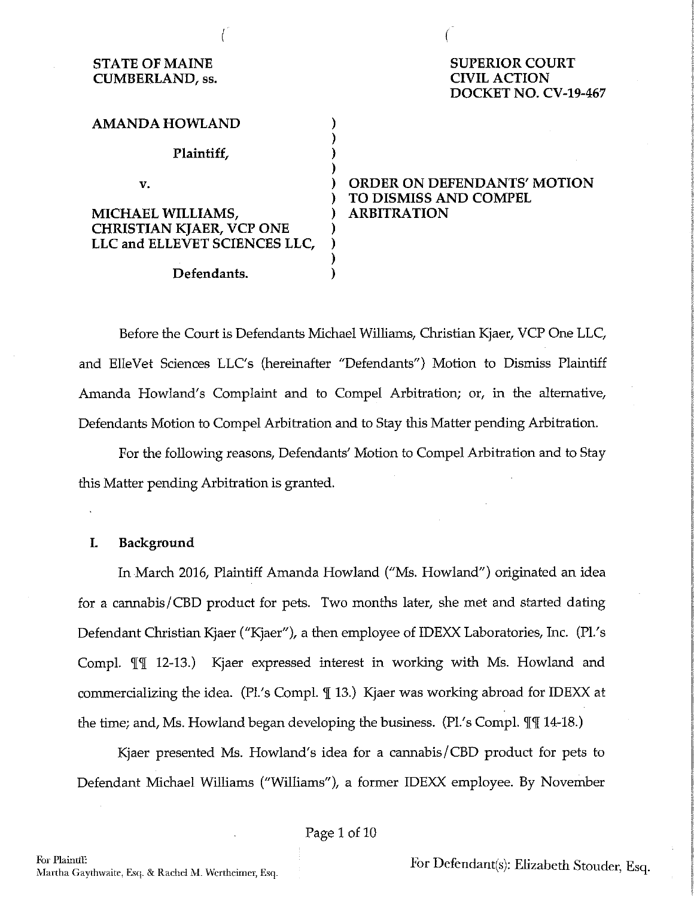| <b>STATE OF MAINE</b><br><b>CUMBERLAND, ss.</b> | <b>SUPERIOR COURT</b><br><b>CIVIL ACTION</b><br>DOCKET NO. CV-19-467 |
|-------------------------------------------------|----------------------------------------------------------------------|
| <b>AMANDA HOWLAND</b>                           |                                                                      |
| Plaintiff,                                      |                                                                      |
| v.                                              | <b>ORDER ON DEFENDANTS' MOTION</b><br><b>TO DISMISS AND COMPEL</b>   |
| <b>MICHAEL WILLIAMS,</b>                        | <b>ARBITRATION</b>                                                   |
| <b>CHRISTIAN KJAER, VCP ONE</b>                 |                                                                      |
| LLC and ELLEVET SCIENCES LLC,                   |                                                                      |
|                                                 |                                                                      |
| Defendants.                                     |                                                                      |
|                                                 |                                                                      |

ť

*(* 

Before the Court is Defendants Michael Williams, Christian Kjaer, VCP One LLC, and ElleVet Sciences LLC's (hereinafter "Defendants") Motion to Dismiss Plaintiff Amanda Howland's Complaint and to Compel Arbitration; or, in the alternative, Defendants Motion to Compel Arbitration and to Stay this Matter pending Arbitration.

For the following reasons, Defendants' Motion to Compel Arbitration and to Stay this Matter pending Arbitration is granted.

## **I. Background**

In March 2016, Plaintiff Amanda Howland ("Ms. Howland") originated an idea for a cannabis/CBD product for pets. Two months later, she met and started dating Defendant Christian Kjaer ("Kjaer"), a then employee of IDEXX Laboratories, Inc. (PL's Compl.  $\mathbb{I}\mathbb{I}$  12-13.) Kjaer expressed interest in working with Ms. Howland and commercializing the idea. (Pl's Compl.  $\parallel$  13.) Kjaer was working abroad for IDEXX at the time; and, Ms. Howland began developing the business. (Pl.'s Compl.  $\mathbb{I}\mathbb{I}$  14-18.)

Kjaer presented Ms. Howland's idea for a cannabis/CBD product for pets to Defendant Michael Williams ("Williams"), a former IDEXX employee. By November

Page 1 of 10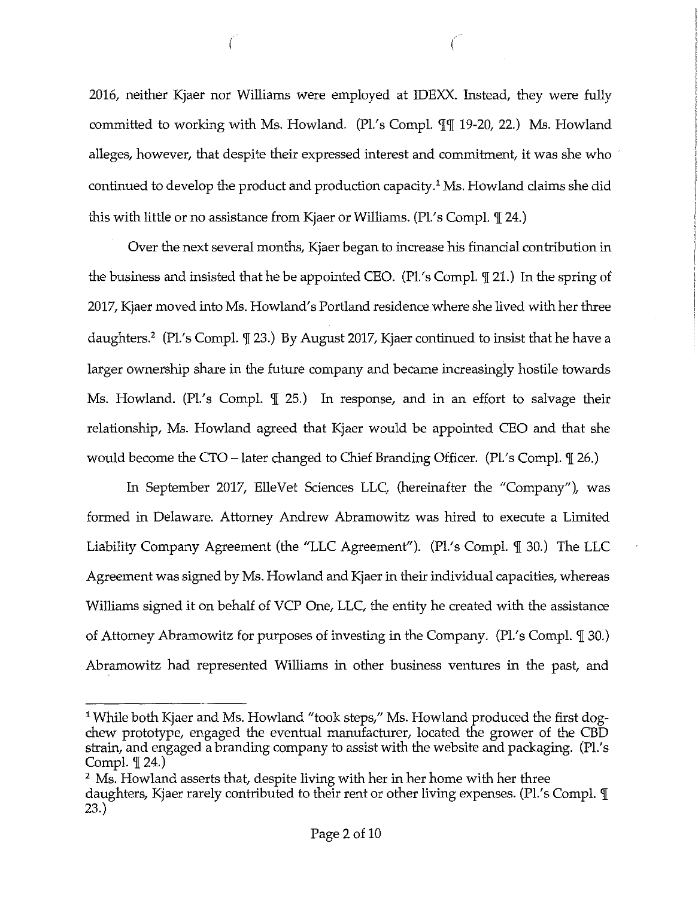2016, neither Kjaer nor Williams were employed at IDEXX. Instead, they were fully committed to working with Ms. Howland.  $(Pl/s \text{ Compl. } \mathbb{q} \mathbb{q} \mathbb{q} \mathbb{q} \mathbb{q} \mathbb{q} \mathbb{q} \mathbb{q} \mathbb{q} \mathbb{q}$ . alleges, however, that despite their expressed interest and commitment, it was she who · continued to develop the product and production capacity.<sup>1</sup> Ms. Howland claims she did this with little or no assistance from Kjaer or Williams.  $(Pl.s Compl. \mathcal{T} 24.)$ 

 $\left(\begin{array}{c} 1 \end{array}\right)$ 

Over the next several months, Kjaer began to increase his financial contribution in the business and insisted that he be appointed CEO. (Pl.'s Compl.  $\mathcal{I}$  21.) In the spring of 2017, Kjaer moved into Ms. Howland's Portland residence where she lived with her three daughters.<sup>2</sup> (Pl.'s Compl. I 23.) By August 2017, Kjaer continued to insist that he have a larger ownership share in the future company and became increasingly hostile towards Ms. Howland. (Pl.'s Compl.  $\mathbb I$  25.) In response, and in an effort to salvage their relationship, Ms. Howland agreed that Kjaer would be appointed CEO and that she would become the CTO – later changed to Chief Branding Officer. (Pl.'s Compl.  $\mathcal{I}$  26.)

In September 2017, ElleVet Sciences LLC, (hereinafter the "Company"), was formed in Delaware. Attorney Andrew Abramowitz was hired to execute a Limited Liability Company Agreement (the "LLC Agreement"). (Pl's Compl. ¶ 30.) The LLC Agreement was signed by Ms. Howland and Kjaer in their individual capacities, whereas Williams signed it on behalf of VCP One, LLC, the entity he created with the assistance of Attorney Abramowitz for purposes of investing in the Company. (Pl.'s Compl.  $\mathcal{I}$  30.) Abramowitz had represented Williams in other business ventures in the past, and

<sup>&</sup>lt;sup>1</sup> While both Kjaer and Ms. Howland "took steps," Ms. Howland produced the first dogchew prototype, engaged the eventual manufacturer, located the grower of the CBD strain, and engaged a branding company to assist with the website and packaging. (Pl.'s Compl.  $\P$  24.)

<sup>&</sup>lt;sup>2</sup> Ms. Howland asserts that, despite living with her in her home with her three daughters, Kjaer rarely contributed to their rent or other living expenses. (PL's Compl. '][ 23.)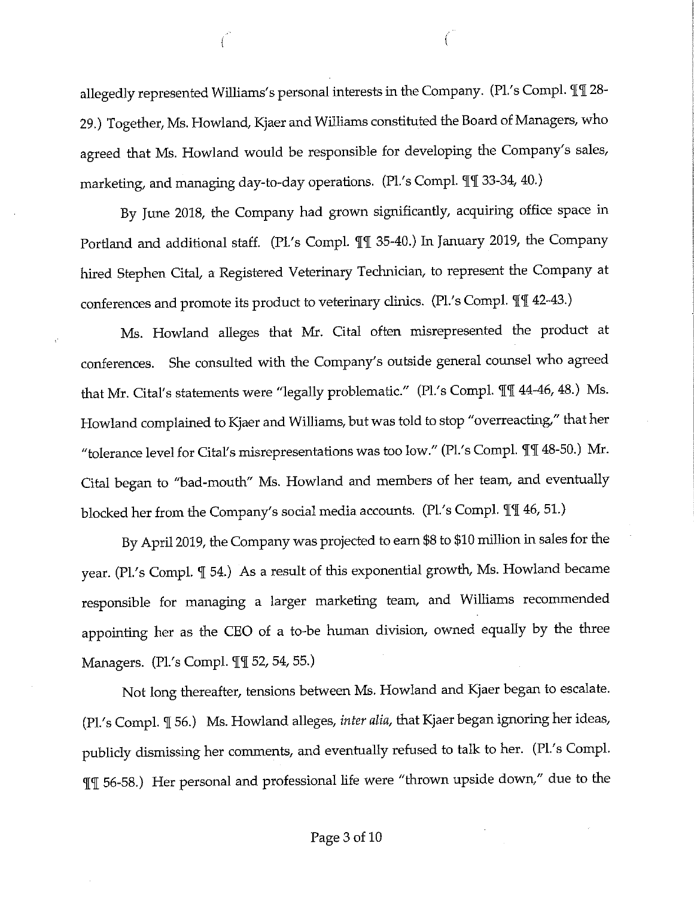allegedly represented Williams's personal interests in the Company. (Pl.'s Compl.  $\mathbb{q}\mathbb{q}$  28-29.) Together, Ms. Howland, Kjaer and Williams constituted the Board of Managers, who agreed that Ms. Howland would be responsible for developing the Company's sales, marketing, and managing day-to-day operations. (Pl.'s Compl. II 33-34, 40.)

f

By June 2018, the Company had grown significantly, acquiring office space in Portland and additional staff. (Pl.'s Compl.  $\P$ ] 35-40.) In January 2019, the Company hired Stephen Cital, a Registered Veterinary Technician, to represent the Company at conferences and promote its product to veterinary clinics. (Pl.'s Compl.  $\P$  142-43.)

Ms. Howland alleges that Mr. Cital often misrepresented the product at conferences. She consulted with the Company's outside general counsel who agreed that Mr. Cital's statements were "legally problematic." (Pl.'s Compl.  $\P$ [ 44-46, 48.) Ms. Howland complained to Kjaer and Williams, but was told to stop "overreacting," that her "tolerance level for Cital's misrepresentations was too low." (Pl.'s Compl.  $\mathbb{T}$  48-50.) Mr. Cital began to "bad-mouth" Ms. Howland and members of her team, and eventually blocked her from the Company's social media accounts. (Pl.'s Compl.  $\P$ [ 46, 51.)

By April 2019, the Company was projected to earn \$8 to \$10 million in sales for the year. (Pl.'s Compl.  $\mathbb I$  54.) As a result of this exponential growth, Ms. Howland became responsible for managing a larger marketing team, and Williams recommended appointing her as the CEO of a to-be human division, owned equally by the three Managers. (Pl.'s Compl. II 52, 54, 55.)

Not long thereafter, tensions between Ms. Howland and Kjaer began to escalate. (Pl.'s Compl. '[ 56.) Ms. Howland alleges, *inter alia,* that Kjaer began ignoring her ideas, publicly dismissing her comments, and eventually refused to talk to her. (Pl.'s Comp!. '['[ 56-58.) Her personal and professional life were "thrown upside down," due to the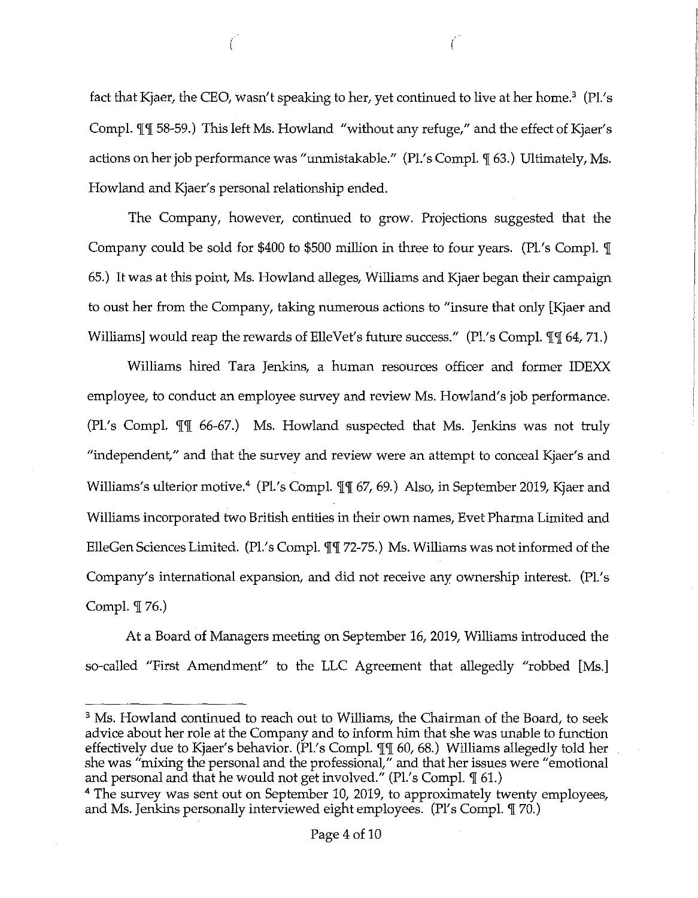fact that Kjaer, the CEO, wasn't speaking to her, yet continued to live at her home.<sup>3</sup> (Pl.'s Compl.  $\P$ [ 58-59.) This left Ms. Howland "without any refuge," and the effect of Kjaer's actions on her job performance was "unmistakable." (Pl.'s Compl.  $\mathcal{I}$  63.) Ultimately, Ms. Howland and Kjaer's personal relationship ended.

( *(* 

The Company, however, continued to grow. Projections suggested that the Company could be sold for \$400 to \$500 million in three to four years. (Pl.'s Compl.  $\mathbb{I}$ 65.) It was at this point, Ms. Howland alleges, Williams and Kjaer began their campaign to oust her from the Company, taking numerous actions to "insure that only [Kjaer and Williams] would reap the rewards of ElleVet's future success." (Pl.'s Compl.  $\mathbb{I}\mathbb{I}$  64, 71.)

Williams hired Tara Jenkins, a human resources officer and former IDEXX employee, to conduct an employee survey and review Ms. Howland's job performance. (Pl.'s Compl.  $\mathbb{I}$  66-67.) Ms. Howland suspected that Ms. Jenkins was not truly "independent," and that the survey and review were an attempt to conceal Kjaer's and Williams's ulterior motive.<sup>4</sup> (Pl.'s Compl.  $\mathbb{I}\mathbb{I}$  67, 69.) Also, in September 2019, Kjaer and Williams incorporated two British entities in their own names, Evet Pharma Limited and ElleGen Sciences Limited. (Pl.'s Compl.  $\mathbb{I}[\mathbb{T}$  72-75.) Ms. Williams was not informed of the Company's international expansion, and did not receive any ownership interest. (Pl.'s Compl.  $\mathbb{I}$  76.)

At a Board of Managers meeting on September 16, 2019, Williams introduced the so-called "First Amendment" to the LLC Agreement that allegedly "robbed [Ms.]

<sup>&</sup>lt;sup>3</sup> Ms. Howland continued to reach out to Williams, the Chairman of the Board, to seek advice about her role at the Company and to inform him that she was unable to function effectively due to Kjaer's behavior. (Pl.'s Compl.  $\mathbb{T}$  60, 68.) Williams allegedly told her she was "mixing the personal and the professional," and that her issues were "emotional and personal and that he would not get involved." (Pl.'s Compl.  $\mathcal I$  61.)

<sup>&</sup>lt;sup>4</sup> The survey was sent out on September 10, 2019, to approximately twenty employees, and Ms. Jenkins personally interviewed eight employees. (Pl's Compl.  $\mathbb{I}$  70.)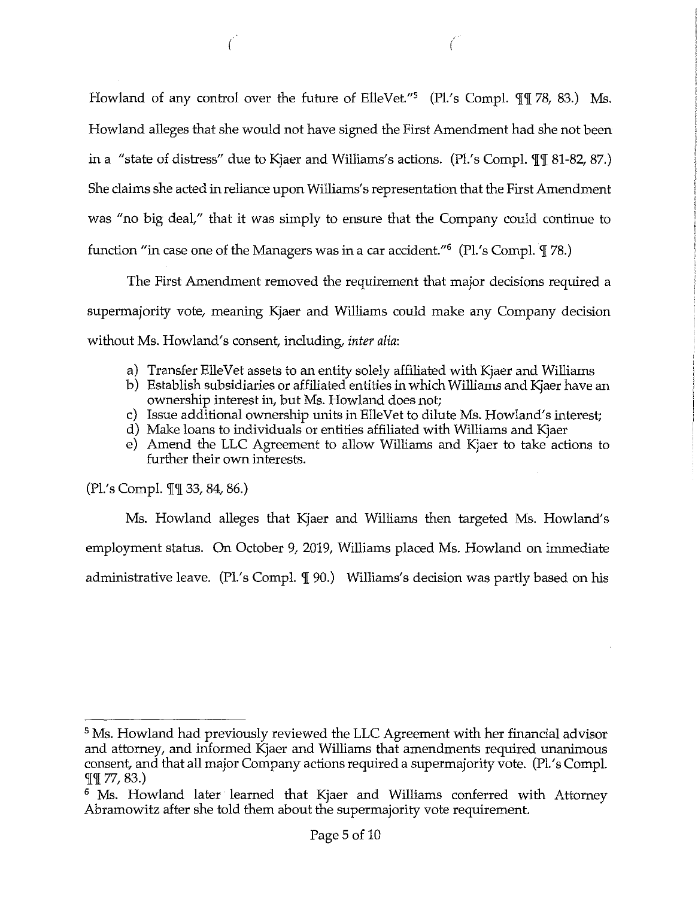Howland of any control over the future of ElleVet."<sup>5</sup> (Pl.'s Compl.  $\mathbb{q}$  78, 83.) Ms. Howland alleges that she would not have signed the First Amendment had she not been in a "state of distress" due to Kjaer and Williams's actions. (Pl.'s Compl.  $\P$ [ 81-82, 87.) She claims she acted in reliance upon Williams's representation that the First Amendment was "no big deal," that it was simply to ensure that the Company could continue to function "in case one of the Managers was in a car accident." $6$  (Pl.'s Compl.  $\mathbb{I}$  78.)

€

 $\Gamma$ 

The First Amendment removed the requirement that major decisions required a supermajority vote, meaning Kjaer and Williams could make any Company decision without Ms. Howland's consent, including, *inter alia:* 

- a) Transfer Elle Vet assets to an entity solely affiliated with Kjaer and Williams
- b) Establish subsidiaries or affiliated entities in which Williams and Kjaer have an ownership interest in, but Ms. Howland does not;
- c) Issue additional ownership units in ElleVet to dilute Ms. Howland's interest;
- d) Make loans to individuals or entities affiliated with Williams and Kjaer
- e) Amend the LLC Agreement to allow Williams and Kjaer to take actions to further their own interests.

(Pl.'s Compl.  $\P$ [ 33, 84, 86.)

Ms. Howland alleges that Kjaer and Williams then targeted Ms. Howland's employment status. On October 9, 2019, Williams placed Ms. Howland on immediate administrative leave. (Pl.'s Compl.  $\mathcal{I}$  90.) Williams's decision was partly based on his

<sup>&</sup>lt;sup>5</sup>Ms. Howland had previously reviewed the LLC Agreement with her financial advisor and attorney, and informed Kjaer and Williams that amendments required unanimous consent, and that all major Company actions required a supermajority vote. (Pl.'s Compl.  $\P\P$  77, 83.)

<sup>&</sup>lt;sup>6</sup> Ms. Howland later learned that Kjaer and Williams conferred with Attorney Abramowitz after she told them about the supermajority vote requirement.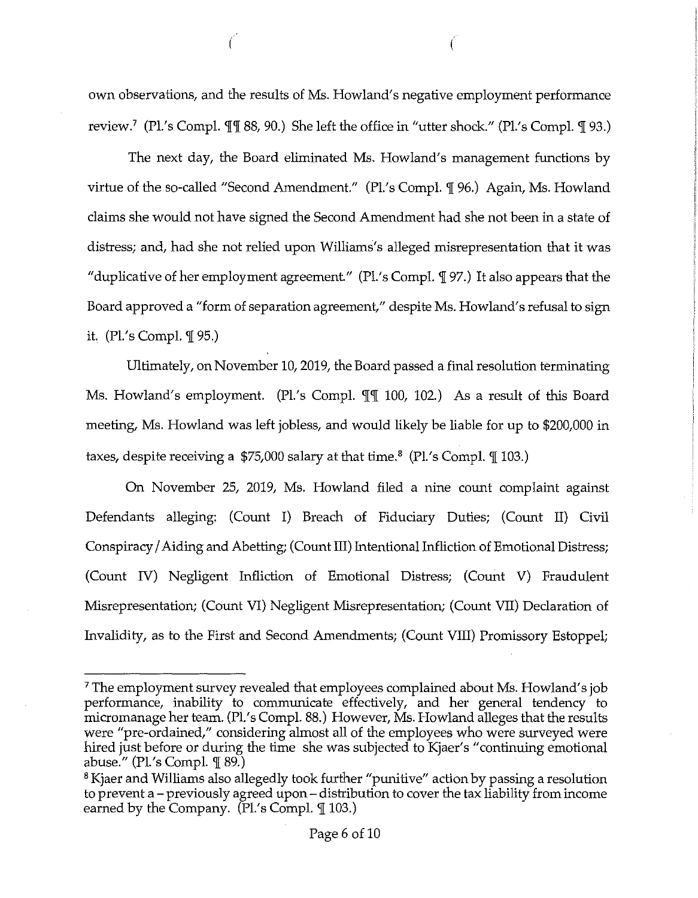own observations, and the results of Ms. Howland's negative employment performance review.<sup>7</sup> (Pl.'s Compl.  $\P$  (188, 90.) She left the office in "utter shock." (Pl.'s Compl.  $\mathcal{I}$  93.)

*(* (

The next day, the Board eliminated Ms. Howland's management functions by virtue of the so-called "Second Amendment." (Pl.'s Compl. ¶ 96.) Again, Ms. Howland claims she would not have signed the Second Amendment had she not been in a state of distress; and, had she not relied upon Williams's alleged misrepresentation that it was "duplicative of her employment agreement." (Pl.'s Compl.  $\P$ 97.) It also appears that the Board approved a "form of separation agreement," despite Ms. Howland's refusal to sign it.  $(Pl.'s Compl. \mathcal{I}$  95.)

Ultimately, on November 10, 2019, the Board passed a final resolution terminating Ms. Howland's employment. (Pl.'s Compl.  $\llbracket \llbracket \llbracket 100, 102 \rrbracket$ ) As a result of this Board meeting, Ms. Howland was left jobless, and would likely be liable for up to \$200,000 in taxes, despite receiving a  $$75,000$  salary at that time.<sup>8</sup> (Pl.'s Compl.  $\llbracket$  103.)

On November 25, 2019, Ms. Howland filed a nine count complaint against Defendants alleging: (Count I) Breach of Fiduciary Duties; (Count II) Civil Conspiracy/Aiding and Abetting; ( Count III) Intentional Infliction of Emotional Distress; (Count IV) Negligent Infliction of Emotional Distress; (Count V) Fraudulent Misrepresentation; (Count VI) Negligent Misrepresentation; (Count VII) Declaration of Invalidity, as to the First and Second Amendments; (Count VIII) Promissory Estoppel;

<sup>&</sup>lt;sup>7</sup>The employment survey revealed that employees complained about Ms. Howland's job performance, inability to communicate effectively, and her general tendency to micromanage her team. (Pl.'s Compl. 88.) However, Ms. Howland alleges that the results were "pre-ordained," considering almost all of the employees who were surveyed were hired just before or during the time she was subjected to Kjaer's "continuing emotional abuse." (Pl.'s Compl.  $\mathcal{F}$  89.)

<sup>&</sup>lt;sup>8</sup> Kjaer and Williams also allegedly took further "punitive" action by passing a resolution to prevent a - previously agreed upon - distribution to cover the tax liability from income earned by the Company.  $(Pl.'s$  Compl.  $\mathcal{F}$  103.)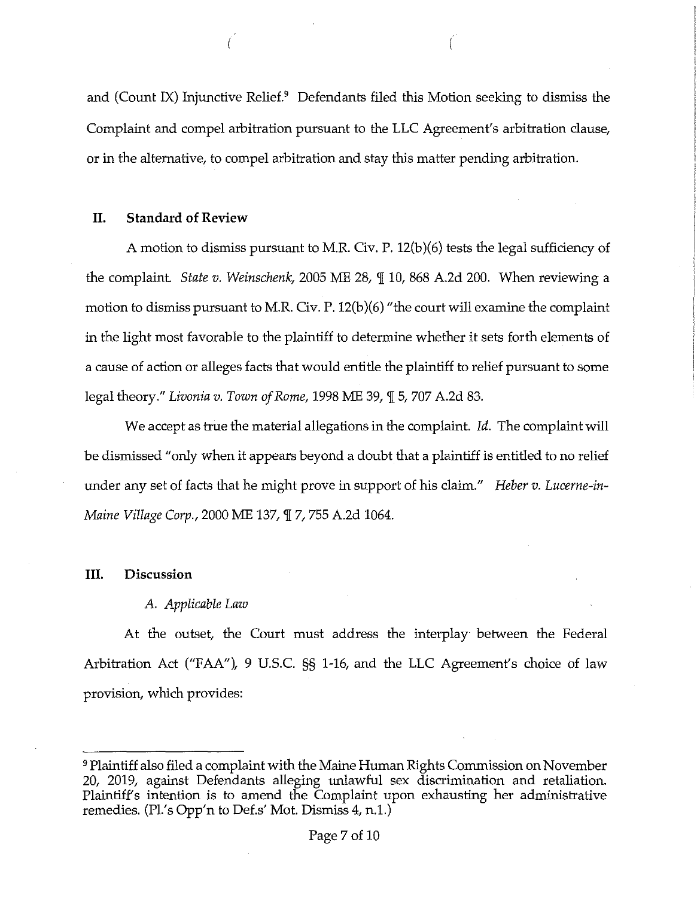and (Count IX) Injunctive Relief.<sup>9</sup> Defendants filed this Motion seeking to dismiss the Complaint and compel arbitration pursuant to the LLC Agreement's arbitration clause, or in the alternative, to compel arbitration and stay this matter pending arbitration.

### **II. Standard of Review**

A motion to dismiss pursuant to M.R. Civ. P. 12(b)(6) tests the legal sufficiency of the complaint. *State v. Weinschenk*, 2005 ME 28,  $\parallel$  10, 868 A.2d 200. When reviewing a motion to dismiss pursuant to M.R. Civ. P. 12(b)(6) "the court will examine the complaint in the light most favorable to the plaintiff to determine whether it sets forth elements of a cause of action or alleges facts that would entitle the plaintiff to relief pursuant to some legal theory." *Livonia v. Town of Rome,* 1998 ME 39, ¶ 5, 707 A.2d 83.

We accept as true the material allegations in the complaint. *Id.* The complaint will be dismissed "only when it appears beyond a doubt that a plaintiff is entitled to no relief under any set of facts that he might prove in support of his claim." *Heber v. Luceme-in-Maine Village Corp.,* 2000 ME 137, '][ 7, 755 A.2d 1064.

#### **III. Discussion**

#### A. *Applicable Law*

At the outset, the Court must address the interplay between the Federal Arbitration Act ("FAA"), 9 U.S.C. §§ 1-16, and the LLC Agreement's choice of law provision, which provides:

<sup>9</sup>Plaintiff also filed a complaint with the Maine Human Rights Commission on November 20, 2019, against Defendants alleging unlawful sex discrimination and retaliation. Plaintiff's intention is to amend the Complaint upon exhausting her administrative remedies. (Pl.'s Opp'n to Def.s' Mot. Dismiss 4, n.1.)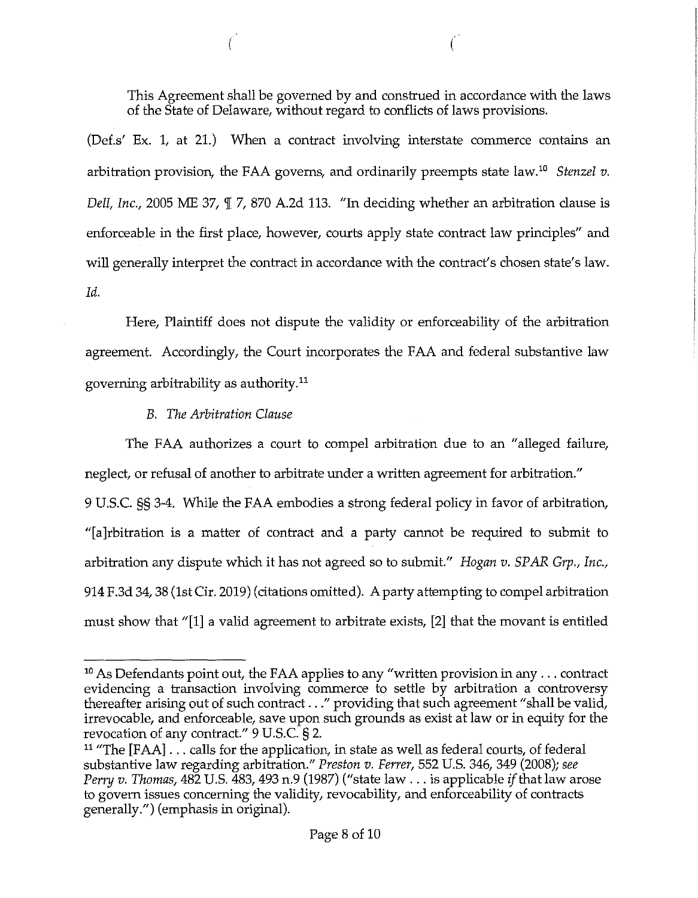This Agreement shall be governed by and construed in accordance with the laws of the State of Delaware, without regard to conflicts of laws provisions.

 $\big($ 

(Def.s' Ex. l, at 21.) When a contract involving interstate commerce contains an arbitration provision, the FAA governs, and ordinarily preempts state law.<sup>10</sup> Stenzel v. *Dell, Inc.,* 2005 ME 37,  $\mathbb{I}$  7, 870 A.2d 113. "In deciding whether an arbitration clause is enforceable in the first place, however, courts apply state contract law principles" and will generally interpret the contract in accordance with the contract's chosen state's law. *Id.* 

Here, Plaintiff does not dispute the validity or enforceability of the arbitration agreement. Accordingly, the Court incorporates the FAA and federal substantive law governing arbitrability as authority. <sup>11</sup>

# *B. The Arbitration Clause*

The FAA authorizes a court to compel arbitration due to an "alleged failure, neglect, or refusal of another to arbitrate under a written agreement for arbitration."

9 U.S.C. §§ 3-4. While the FAA embodies a strong federal policy in favor of arbitration, "[a]rbitration is a matter of contract and a party cannot be required to submit to arbitration any dispute which it has not agreed so to submit." *Hogan v. SPAR Grp., Inc.,*  914 F.3d 34, 38 (1st Cir. 2019) (citations omitted). A party attempting to compel arbitration must show that "[1] a valid agreement to arbitrate exists, [2] that the movant is entitled

<sup>&</sup>lt;sup>10</sup> As Defendants point out, the FAA applies to any "written provision in any ... contract evidencing a transaction involving commerce to settle by arbitration a controversy thereafter arising out of such contract ..." providing that such agreement "shall be valid, irrevocable, and enforceable, save upon such grounds as exist at law or in equity for the revocation of any contract." 9 U.S.C. § 2.

<sup>&</sup>lt;sup>11</sup> "The [FAA]  $\dots$  calls for the application, in state as well as federal courts, of federal substantive law regarding arbitration." *Preston v. Ferrer,* 552 U.S. 346, 349 (2008); *see Perry v. Thomas,* 482 U.S. 483, 493 n.9 (1987) ("state law ... is applicable *if* that law arose to govern issues concerning the validity, revocability, and enforceability of contracts generally.") (emphasis in original).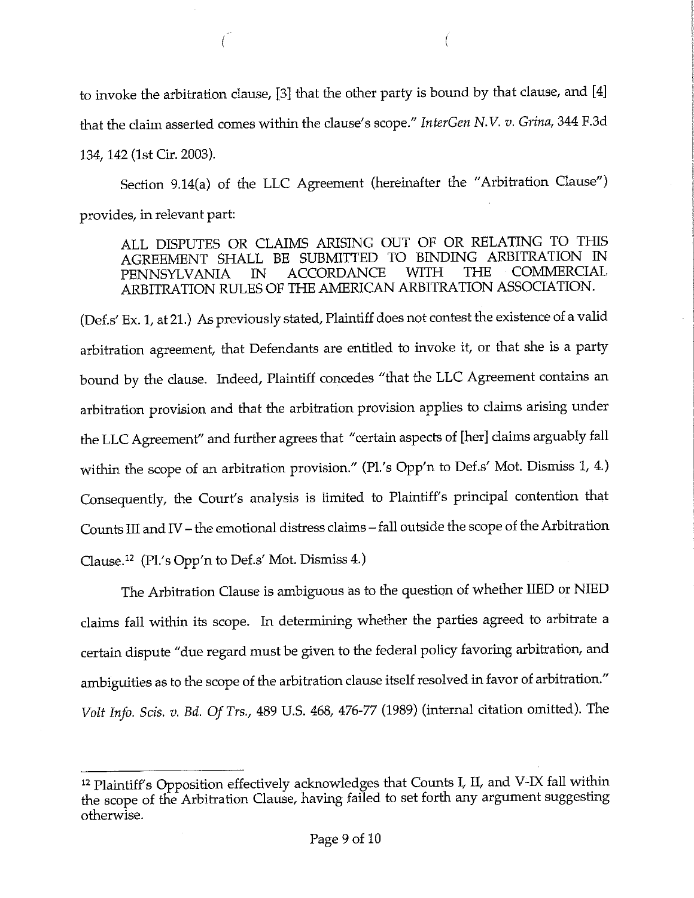to invoke the arbitration clause, [3] that the other party is bound by that clause, and [4] that the claim asserted comes within the clause's scope." *InterGen N.V. v. Grina,* 344 F.3d 134, 142 (1st Cir. 2003).

Section 9.14(a) of the LLC Agreement (hereinafter the "Arbitration Clause") provides, in relevant part:

ALL DISPUTES OR CLAIMS ARISING OUT OF OR RELATING TO THIS AGREEMENT SHALL BE SUBMITTED TO BINDING ARBITRATION IN PENINSYLVANIA. IN ACCORDANCE WITH THE COMMERCIAL PENNSYLVANIA IN ACCORDANCE WITH THE ARBITRATION RULES OF THE AMERICAN ARBITRATION ASSOOATION.

(Def.s' Ex. 1, at 21.) As previously stated, Plaintiff does not contest the existence of a valid arbitration agreement, that Defendants are entitled to invoke it, or that she is a party bound by the clause. Indeed, Plaintiff concedes "that the LLC Agreement contains an arbitration provision and that the arbitration provision applies to claims arising under the LLC Agreement" and further agrees that "certain aspects of [her] claims arguably fall within the scope of an arbitration provision." (Pl.'s Opp'n to Def.s' Mot. Dismiss 1, 4.) Consequently, the Court's analysis is limited to Plaintiff's principal contention that Counts III and IV - the emotional distress claims - fall outside the scope of the Arbitration Clause.12 (Pl.'s Opp'n to Def.s' Mot. Dismiss 4.)

The Arbitration Clause is ambiguous as to the question of whether IIED or NIED claims fall within its scope. In determining whether the parties agreed to arbitrate a certain dispute "due regard must be given to the federal policy favoring arbitration, and ambiguities as to the scope of the arbitration clause itself resolved in favor of arbitration." *Volt Info. Scis. v. Bd. Of Trs.,* 489 U.S. 468, 476-77 (1989) (internal citation omitted). The

<sup>12</sup> Plaintiff's Opposition effectively acknowledges that Counts I, II, and V-IX fall within the scope of the Arbitration Clause, having failed to set forth any argument suggesting otherwise.